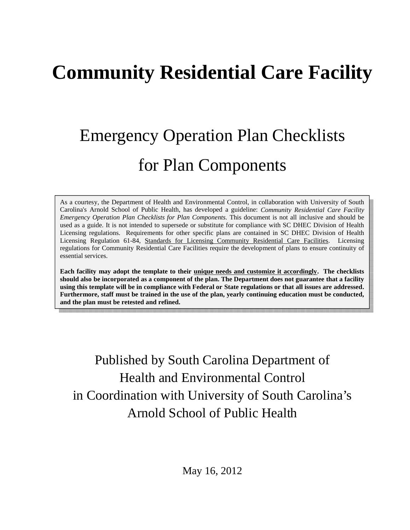## **Community Residential Care Facility**

# Emergency Operation Plan Checklists for Plan Components

As a courtesy, the Department of Health and Environmental Control, in collaboration with University of South Carolina's Arnold School of Public Health, has developed a guideline: *Community Residential Care Facility Emergency Operation Plan Checklists for Plan Components.* This document is not all inclusive and should be used as a guide. It is not intended to supersede or substitute for compliance with SC DHEC Division of Health Licensing regulations. Requirements for other specific plans are contained in SC DHEC Division of Health Licensing Regulation 61-84, Standards for Licensing Community Residential Care Facilities. Licensing regulations for Community Residential Care Facilities require the development of plans to ensure continuity of essential services.

**Each facility may adopt the template to their unique needs and customize it accordingly. The checklists should also be incorporated as a component of the plan. The Department does not guarantee that a facility using this template will be in compliance with Federal or State regulations or that all issues are addressed. Furthermore, staff must be trained in the use of the plan, yearly continuing education must be conducted, and the plan must be retested and refined.**

Published by South Carolina Department of Health and Environmental Control in Coordination with University of South Carolina's Arnold School of Public Health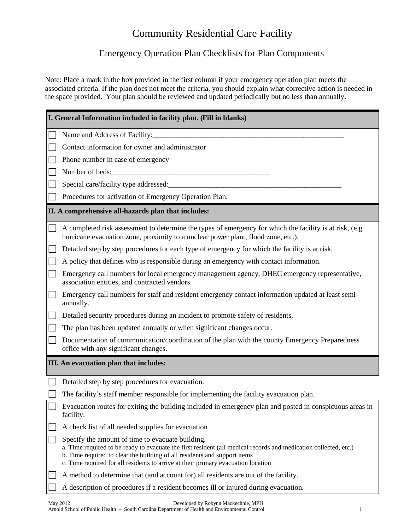### Community Residential Care Facility

#### Emergency Operation Plan Checklists for Plan Components

Note: Place a mark in the box provided in the first column if your emergency operation plan meets the associated criteria. If the plan does not meet the criteria, you should explain what corrective action is needed in the space provided. Your plan should be reviewed and updated periodically but no less than annually.

| I. General Information included in facility plan. (Fill in blanks) |                                                                                                                                                                                                                                                                                                                                        |  |  |
|--------------------------------------------------------------------|----------------------------------------------------------------------------------------------------------------------------------------------------------------------------------------------------------------------------------------------------------------------------------------------------------------------------------------|--|--|
|                                                                    |                                                                                                                                                                                                                                                                                                                                        |  |  |
|                                                                    | Contact information for owner and administrator                                                                                                                                                                                                                                                                                        |  |  |
|                                                                    | Phone number in case of emergency                                                                                                                                                                                                                                                                                                      |  |  |
|                                                                    |                                                                                                                                                                                                                                                                                                                                        |  |  |
|                                                                    | Special care/facility type addressed:                                                                                                                                                                                                                                                                                                  |  |  |
|                                                                    | Procedures for activation of Emergency Operation Plan.                                                                                                                                                                                                                                                                                 |  |  |
| II. A comprehensive all-hazards plan that includes:                |                                                                                                                                                                                                                                                                                                                                        |  |  |
|                                                                    | A completed risk assessment to determine the types of emergency for which the facility is at risk, (e.g.<br>hurricane evacuation zone, proximity to a nuclear power plant, flood zone, etc.).                                                                                                                                          |  |  |
|                                                                    | Detailed step by step procedures for each type of emergency for which the facility is at risk.                                                                                                                                                                                                                                         |  |  |
|                                                                    | A policy that defines who is responsible during an emergency with contact information.                                                                                                                                                                                                                                                 |  |  |
|                                                                    | Emergency call numbers for local emergency management agency, DHEC emergency representative,<br>association entities, and contracted vendors.                                                                                                                                                                                          |  |  |
|                                                                    | Emergency call numbers for staff and resident emergency contact information updated at least semi-<br>annually.                                                                                                                                                                                                                        |  |  |
|                                                                    | Detailed security procedures during an incident to promote safety of residents.                                                                                                                                                                                                                                                        |  |  |
|                                                                    | The plan has been updated annually or when significant changes occur.                                                                                                                                                                                                                                                                  |  |  |
|                                                                    | Documentation of communication/coordination of the plan with the county Emergency Preparedness<br>office with any significant changes.                                                                                                                                                                                                 |  |  |
|                                                                    | III. An evacuation plan that includes:                                                                                                                                                                                                                                                                                                 |  |  |
|                                                                    | Detailed step by step procedures for evacuation.                                                                                                                                                                                                                                                                                       |  |  |
|                                                                    | The facility's staff member responsible for implementing the facility evacuation plan.                                                                                                                                                                                                                                                 |  |  |
|                                                                    | Evacuation routes for exiting the building included in emergency plan and posted in conspicuous areas in<br>facility.                                                                                                                                                                                                                  |  |  |
|                                                                    | A check list of all needed supplies for evacuation                                                                                                                                                                                                                                                                                     |  |  |
|                                                                    | Specify the amount of time to evacuate building.<br>a. Time required to be ready to evacuate the first resident (all medical records and medication collected, etc.)<br>b. Time required to clear the building of all residents and support items<br>c. Time required for all residents to arrive at their primary evacuation location |  |  |
|                                                                    | A method to determine that (and account for) all residents are out of the facility.                                                                                                                                                                                                                                                    |  |  |
|                                                                    | A description of procedures if a resident becomes ill or injured during evacuation.                                                                                                                                                                                                                                                    |  |  |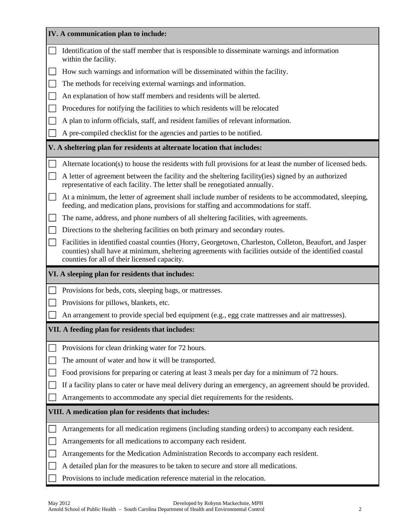| IV. A communication plan to include:                 |                                                                                                                                                                                                                                                                      |  |
|------------------------------------------------------|----------------------------------------------------------------------------------------------------------------------------------------------------------------------------------------------------------------------------------------------------------------------|--|
|                                                      | Identification of the staff member that is responsible to disseminate warnings and information<br>within the facility.                                                                                                                                               |  |
|                                                      | How such warnings and information will be disseminated within the facility.                                                                                                                                                                                          |  |
|                                                      | The methods for receiving external warnings and information.                                                                                                                                                                                                         |  |
|                                                      | An explanation of how staff members and residents will be alerted.                                                                                                                                                                                                   |  |
|                                                      | Procedures for notifying the facilities to which residents will be relocated                                                                                                                                                                                         |  |
|                                                      | A plan to inform officials, staff, and resident families of relevant information.                                                                                                                                                                                    |  |
|                                                      | A pre-compiled checklist for the agencies and parties to be notified.                                                                                                                                                                                                |  |
|                                                      | V. A sheltering plan for residents at alternate location that includes:                                                                                                                                                                                              |  |
|                                                      | Alternate location(s) to house the residents with full provisions for at least the number of licensed beds.                                                                                                                                                          |  |
|                                                      | A letter of agreement between the facility and the sheltering facility (ies) signed by an authorized<br>representative of each facility. The letter shall be renegotiated annually.                                                                                  |  |
|                                                      | At a minimum, the letter of agreement shall include number of residents to be accommodated, sleeping,<br>feeding, and medication plans, provisions for staffing and accommodations for staff.                                                                        |  |
|                                                      | The name, address, and phone numbers of all sheltering facilities, with agreements.                                                                                                                                                                                  |  |
|                                                      | Directions to the sheltering facilities on both primary and secondary routes.                                                                                                                                                                                        |  |
|                                                      | Facilities in identified coastal counties (Horry, Georgetown, Charleston, Colleton, Beaufort, and Jasper<br>counties) shall have at minimum, sheltering agreements with facilities outside of the identified coastal<br>counties for all of their licensed capacity. |  |
|                                                      | VI. A sleeping plan for residents that includes:                                                                                                                                                                                                                     |  |
|                                                      | Provisions for beds, cots, sleeping bags, or mattresses.                                                                                                                                                                                                             |  |
|                                                      | Provisions for pillows, blankets, etc.                                                                                                                                                                                                                               |  |
|                                                      | An arrangement to provide special bed equipment (e.g., egg crate mattresses and air mattresses).                                                                                                                                                                     |  |
|                                                      | VII. A feeding plan for residents that includes:                                                                                                                                                                                                                     |  |
|                                                      | Provisions for clean drinking water for 72 hours.                                                                                                                                                                                                                    |  |
|                                                      | The amount of water and how it will be transported.                                                                                                                                                                                                                  |  |
|                                                      | Food provisions for preparing or catering at least 3 meals per day for a minimum of 72 hours.                                                                                                                                                                        |  |
|                                                      | If a facility plans to cater or have meal delivery during an emergency, an agreement should be provided.                                                                                                                                                             |  |
|                                                      | Arrangements to accommodate any special diet requirements for the residents.                                                                                                                                                                                         |  |
| VIII. A medication plan for residents that includes: |                                                                                                                                                                                                                                                                      |  |
|                                                      | Arrangements for all medication regimens (including standing orders) to accompany each resident.                                                                                                                                                                     |  |
|                                                      | Arrangements for all medications to accompany each resident.                                                                                                                                                                                                         |  |
|                                                      | Arrangements for the Medication Administration Records to accompany each resident.                                                                                                                                                                                   |  |
|                                                      | A detailed plan for the measures to be taken to secure and store all medications.                                                                                                                                                                                    |  |
|                                                      | Provisions to include medication reference material in the relocation.                                                                                                                                                                                               |  |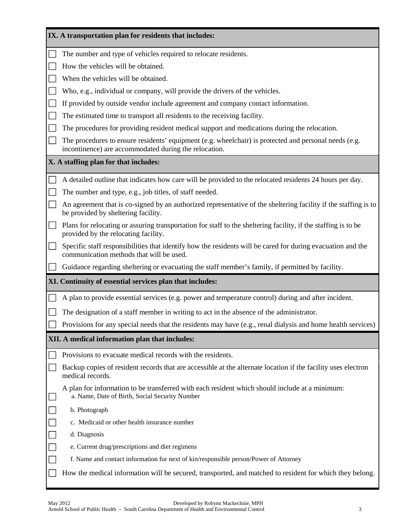|                                       | IX. A transportation plan for residents that includes:                                                                                                         |  |
|---------------------------------------|----------------------------------------------------------------------------------------------------------------------------------------------------------------|--|
|                                       | The number and type of vehicles required to relocate residents.                                                                                                |  |
|                                       | How the vehicles will be obtained.                                                                                                                             |  |
|                                       | When the vehicles will be obtained.                                                                                                                            |  |
|                                       | Who, e.g., individual or company, will provide the drivers of the vehicles.                                                                                    |  |
|                                       | If provided by outside vendor include agreement and company contact information.                                                                               |  |
|                                       | The estimated time to transport all residents to the receiving facility.                                                                                       |  |
|                                       | The procedures for providing resident medical support and medications during the relocation.                                                                   |  |
|                                       | The procedures to ensure residents' equipment (e.g. wheelchair) is protected and personal needs (e.g.<br>incontinence) are accommodated during the relocation. |  |
| X. A staffing plan for that includes: |                                                                                                                                                                |  |
|                                       | A detailed outline that indicates how care will be provided to the relocated residents 24 hours per day.                                                       |  |
|                                       | The number and type, e.g., job titles, of staff needed.                                                                                                        |  |
| I.                                    | An agreement that is co-signed by an authorized representative of the sheltering facility if the staffing is to<br>be provided by sheltering facility.         |  |
|                                       | Plans for relocating or assuring transportation for staff to the sheltering facility, if the staffing is to be<br>provided by the relocating facility.         |  |
|                                       | Specific staff responsibilities that identify how the residents will be cared for during evacuation and the<br>communication methods that will be used.        |  |
|                                       | Guidance regarding sheltering or evacuating the staff member's family, if permitted by facility.                                                               |  |
|                                       | XI. Continuity of essential services plan that includes:                                                                                                       |  |
|                                       | A plan to provide essential services (e.g. power and temperature control) during and after incident.                                                           |  |
|                                       | The designation of a staff member in writing to act in the absence of the administrator.                                                                       |  |
|                                       | Provisions for any special needs that the residents may have (e.g., renal dialysis and home health services)                                                   |  |
|                                       | XII. A medical information plan that includes:                                                                                                                 |  |
|                                       | Provisions to evacuate medical records with the residents.                                                                                                     |  |
|                                       | Backup copies of resident records that are accessible at the alternate location if the facility uses electron<br>medical records.                              |  |
|                                       | A plan for information to be transferred with each resident which should include at a minimum:<br>a. Name, Date of Birth, Social Security Number               |  |
|                                       | b. Photograph                                                                                                                                                  |  |
|                                       | c. Medicaid or other health insurance number                                                                                                                   |  |
|                                       | d. Diagnosis                                                                                                                                                   |  |
|                                       | e. Current drug/prescriptions and diet regimens                                                                                                                |  |
|                                       | f. Name and contact information for next of kin/responsible person/Power of Attorney                                                                           |  |
|                                       | How the medical information will be secured, transported, and matched to resident for which they belong.                                                       |  |